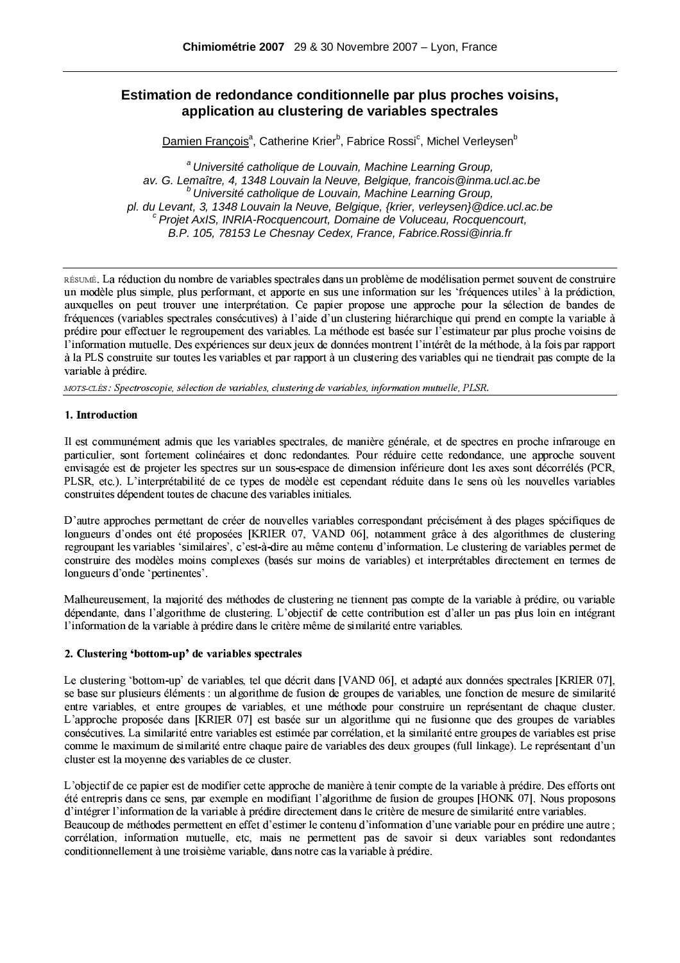# **Estimation de redondance conditionnelle par plus proches voisins, application au clustering de variables spectrales**

Damien François<sup>a</sup>, Catherine Krier<sup>b</sup>, Fabrice Rossi<sup>c</sup>, Michel Verleysen<sup>b</sup>

<sup>a</sup> Université catholique de Louvain, Machine Learning Group, av. G. Lemaître, 4, 1348 Louvain la Neuve, Belgique, francois@inma.ucl.ac.be  $b$  Université catholique de Louvain, Machine Learning Group, pl. du Levant, 3, 1348 Louvain la Neuve, Belgique, {krier, verleysen}@dice.ucl.ac.be  $c$  Projet AxIS, INRIA-Rocquencourt, Domaine de Voluceau, Rocquencourt, B.P. 105, 78153 Le Chesnay Cedex, France, Fabrice.Rossi@inria.fr

RESUME. La reduction du nombre de variables spectrales dans un probleme de modelisation permet souvent de construire un modele plus simple, plus performant, et apporte en sus une information sur les "frequences utiles" à la prediction, auxquelles on peut trouver une interpretation. Le papier propose une approche pour la selection de bandes de frequences (variables spectrales consecutives) a l'aide d'un clustering hierarchique qui prend en compte la variable a predire pour effectuer le regroupement des variables. La methode est basee sur l'estimateur par plus proche voisins de I information mutuelle. Des experiences sur deux jeux de donnees montrent I interet de la methode, a la fois par rapport a la PLS construite sur toutes les variables et par rapport a un clustemng des variables dui ne tiendrait pas compte de la variable a predire

tion of the column contract of the state of the state of the state of the column of the column of the state of the state of the state of the state of the state of the state of the state of the state of the state of the sta

# -#h#2CC2,

Il est communément admis que les variables spectrales, de manière générale, et de spectres en proche infrarouge en particulier, sont fortement colineaires et donc redondantes. Pour reduire cette redondance, une approche souvent envisagee est de projeter les spectres sur un sous-espace de dimension interieure dont les axes sont decorreles (PCR, PLSR. etc.). L'interpretabilite de ce types de modele est cependant reduite dans le sens ou les nouvelles variables construites dependent toutes de chacune des variables initiales

D'autre approches permettant de creer de nouvelles variables correspondant precisement à des plages specifiques de longueurs d'ondes ont été proposées [KRIER 07, VAND 06], notamment grâce à des algorithmes de clustering regroupant les variables "similaires". C'est-a-dire au meme contenu d'information. Le clustering de variables permet de construire des modèles moins complexes (basés sur moins de variables) et interprétables directement en termes de longueurs d'onde 'pertinentes'.

Malheureusement, la maiorité des méthodes de clustering ne tiennent pas compte de la variable à prédire, ou variable dependante, dans l'algorithme de clustering. L'objectif de cette contribution est d'aller un pas plus loin en integrant l'information de la variable à prédire dans le critère même de similarité entre variables.

# ³3´bµB:¶;·2:¸!¹º3-;»^¼;3½M¾:C·¿À21Àº3µ<· ¶)¶½3·2-À µB·¶

Le clustering 'bottom-up' de variables, tel que décrit dans IVAND 061, et adapté aux données spectrales IKRIER 071, se base sur plusieurs elements : un algorithme de fusion de groupes de variables, une fonction de mesure de similarite entre variables, et entre groupes de variables, et une methode pour construire un representant de chaque cluster L'approche proposée dans [KRIER 07] est basée sur un algorithme qui ne fusionne que des groupes de variables consecutives. La similarite entre variables est estimee par correlation, et la similante entre groupes de variables est prise comme le maximum de similante entre chaque paire de variables des deux groupes (full linkage). Le représentant d'un cluster est la movenne des variables de ce cluster

L'objectif de ce bapier est de modifier cette approche de manière à tenir compte de la variable à prédire. Des éfforts ont ete entrepris dans ce sens, par exemple en modifiant l'algorithme de fusion de groupes HONK 0/1. Nous proposons d'intégrer l'information de la variable à prédire directement dans le critère de mesure de similarité entre variables. Beaucoup de méthodes permettent en effet d'estimer le contenu d'information d'une variable pour en prédire une autre : correlation, information mutuelle, etc. mais ne permettent pas de savoir si deux variables sont redondantes conditionnellement a une troisieme variable, dans notre cas la variable a predire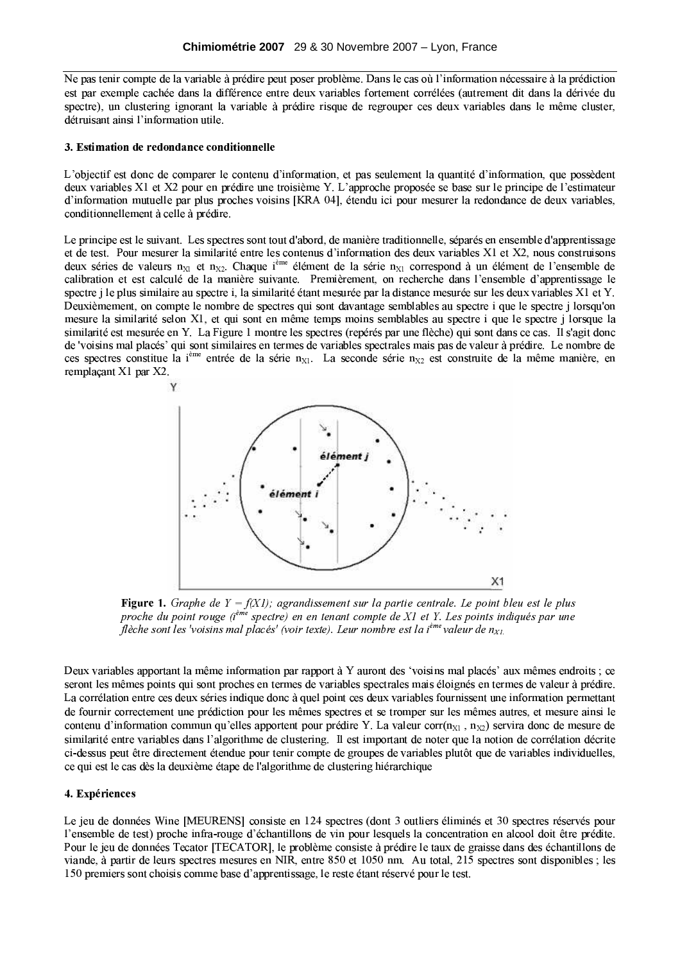Ne pas tenir compte de la variable à prédire peut poser problème. Dans le cas où l'information nécessaire à la prédiction est par exemple cachée dans la différence entre deux variables fortement corrélées (autrement dit dans la dérivée du spectre), un clustering ignorant la variable à prédire risque de regrouper ces deux variables dans le même cluster, détruisant ainsi l'information utile.

### 3. Estimation de redondance conditionnelle

L'objectif est donc de comparer le contenu d'information, et pas seulement la quantité d'information, que possèdent deux variables X1 et X2 pour en prédire une troisième Y. L'approche proposée se base sur le principe de l'estimateur d'information mutuelle par plus proches voisins [KRA 04], étendu ici pour mesurer la redondance de deux variables, conditionnellement à celle à prédire.

Le principe est le suivant. Les spectres sont tout d'abord, de manière traditionnelle, séparés en ensemble d'apprentissage et de test. Pour mesurer la similarité entre les contenus d'information des deux variables X1 et X2, nous construisons deux séries de valeurs  $n_{x1}$  et  $n_{x2}$ . Chaque i<sup>ème</sup> élément de la série  $n_{x1}$  correspond à un élément de l'ensemble de calibration et est calculé de la manière suivante. Premièrement, on recherche dans l'ensemble d'apprentissage le spectre j le plus similaire au spectre i, la similarité étant mesurée par la distance mesurée sur les deux variables X1 et Y. Deuxièmement, on compte le nombre de spectres qui sont davantage semblables au spectre i que le spectre j lorsqu'on mesure la similarité selon X1, et qui sont en même temps moins semblables au spectre i que le spectre j lorsque la similarité est mesurée en Y. La Figure 1 montre les spectres (repérés par une flèche) qui sont dans ce cas. Il s'agit donc de 'voisins mal placés' qui sont similaires en termes de variables spectrales mais pas de valeur à prédire. Le nombre de ces spectres constitue la i<sup>ème</sup> entrée de la série n<sub>x1</sub>. La seconde série n<sub>x2</sub> est construite de la même manière, en remplaçant X1 par X2.



**Figure 1.** Graphe de  $Y = f(X1)$ ; agrandissement sur la partie centrale. Le point bleu est le plus proche du point rouge  $(i^{em}$  spectre) en en tenant compte de X1 et Y. Les points indiqués par une flèche sont les 'voisins mal placés' (voir texte). Leur nombre est la i<sup>ème</sup> valeur de n<sub>Xl.</sub>

Deux variables apportant la même information par rapport à Y auront des 'voisins mal placés' aux mêmes endroits : ce seront les mêmes points qui sont proches en termes de variables spectrales mais éloignés en termes de valeur à prédire. La corrélation entre ces deux séries indique donc à quel point ces deux variables fournissent une information permettant de fournir correctement une prédiction pour les mêmes spectres et se tromper sur les mêmes autres, et mesure ainsi le contenu d'information commun qu'elles apportent pour prédire Y. La valeur corr $(n_{x1}, n_{x2})$  servira donc de mesure de similarité entre variables dans l'algorithme de clustering. Il est important de noter que la notion de corrélation décrite ci-dessus peut être directement étendue pour tenir compte de groupes de variables plutôt que de variables individuelles, ce qui est le cas dès la deuxième étape de l'algorithme de clustering hiérarchique

# 4. Expériences

Le jeu de données Wine [MEURENS] consiste en 124 spectres (dont 3 outliers éliminés et 30 spectres réservés pour l'ensemble de test) proche infra-rouge d'échantillons de vin pour lesquels la concentration en alcool doit être prédite. Pour le jeu de données Tecator [TECATOR], le problème consiste à prédire le taux de graisse dans des échantillons de viande. à partir de leurs spectres mesures en NIR, entre 850 et 1050 nm. Au total, 215 spectres sont disponibles; les 150 premiers sont choisis comme base d'apprentissage. le reste étant réservé pour le test.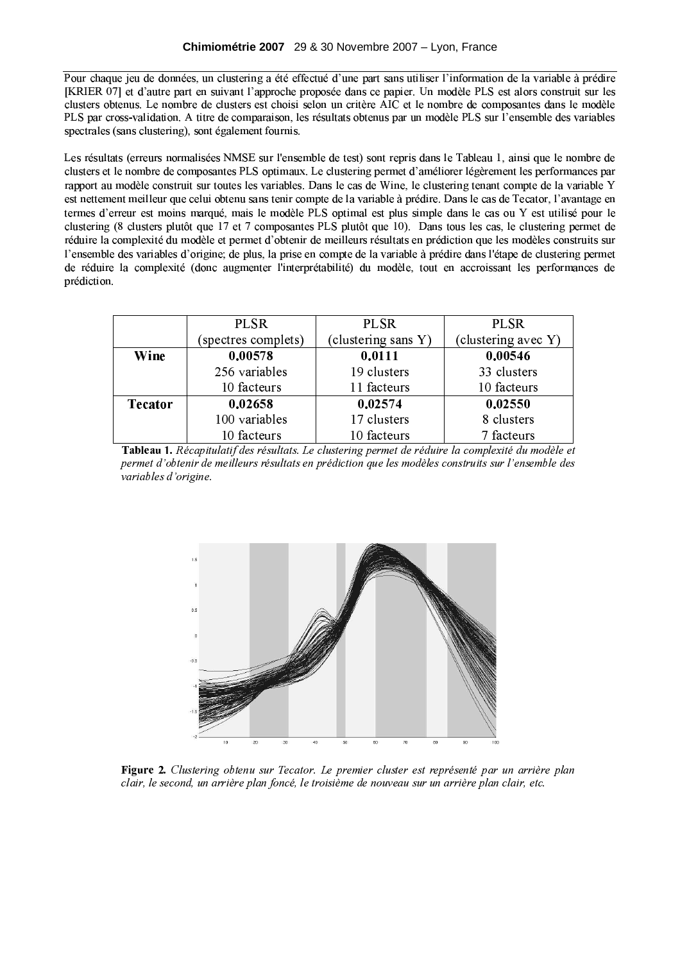Pour chaque jeu de données, un clustering a été effectué d'une part sans utiliser l'information de la variable à prédire [KRIER 07] et d'autre part en suivant l'approche proposée dans ce papier. Un modèle PLS est alors construit sur les clusters obtenus. Le nombre de clusters est choisi selon un critère AIC et le nombre de composantes dans le modèle PLS par cross-validation. A titre de comparaison, les résultats obtenus par un modèle PLS sur l'ensemble des variables spectrales (sans clustering), sont également fournis.

Les résultats (erreurs normalisées NMSE sur l'ensemble de test) sont repris dans le Tableau 1, ainsi que le nombre de clusters et le nombre de composantes PLS optimaux. Le clustering permet d'améliorer légèrement les performances par rapport au modèle construit sur toutes les variables. Dans le cas de Wine, le clustering tenant compte de la variable Y est nettement meilleur que celui obtenu sans tenir compte de la variable à prédire. Dans le cas de Tecator, l'avantage en termes d'erreur est moins marqué, mais le modèle PLS optimal est plus simple dans le cas ou Y est utilisé pour le clustering (8 clusters plutôt que 17 et 7 composantes PLS plutôt que 10). Dans tous les cas, le clustering permet de réduire la complexité du modèle et permet d'obtenir de meilleurs résultats en prédiction que les modèles construits sur l'ensemble des variables d'origine: de plus, la prise en compte de la variable à prédire dans l'étape de clustering permet de réduire la complexité (donc augmenter l'interprétabilité) du modèle, tout en accroissant les performances de prédiction.

|                | <b>PLSR</b>         | <b>PLSR</b>         | <b>PLSR</b>         |
|----------------|---------------------|---------------------|---------------------|
|                | (spectres complets) | (clustering sans Y) | (clustering avec Y) |
| Wine           | 0.00578             | 0.0111              | 0.00546             |
|                | 256 variables       | 19 clusters         | 33 clusters         |
|                | 10 facteurs         | 11 facteurs         | 10 facteurs         |
| <b>Tecator</b> | 0.02658             | 0.02574             | 0.02550             |
|                | 100 variables       | 17 clusters         | 8 clusters          |
|                | 10 facteurs         | 10 facteurs         | 7 facteurs          |





Figure 2. Clustering obtenu sur Tecator. Le premier cluster est représenté par un arrière plan clair, le second, un arrière plan foncé, le troisième de nouveau sur un arrière plan clair, etc.